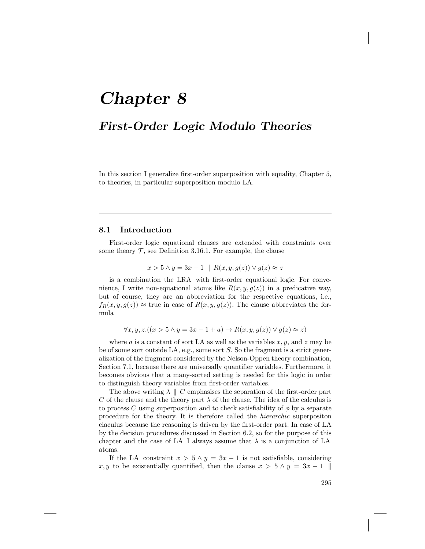# Chapter 8

# First-Order Logic Modulo Theories

In this section I generalize first-order superposition with equality, Chapter 5, to theories, in particular superposition modulo LA.

## 8.1 Introduction

First-order logic equational clauses are extended with constraints over some theory  $\mathcal T$ , see Definition 3.16.1. For example, the clause

$$
x > 5 \land y = 3x - 1 \parallel R(x, y, g(z)) \lor g(z) \approx z
$$

is a combination the LRA with first-order equational logic. For convenience, I write non-equational atoms like  $R(x, y, g(z))$  in a predicative way, but of course, they are an abbreviation for the respective equations, i.e.,  $f_R(x, y, g(z)) \approx$  true in case of  $R(x, y, g(z))$ . The clause abbreviates the formula

$$
\forall x, y, z. ((x > 5 \land y = 3x - 1 + a) \rightarrow R(x, y, g(z)) \lor g(z) \approx z)
$$

where a is a constant of sort LA as well as the variables  $x, y$ , and  $z$  may be be of some sort outside LA, e.g., some sort S. So the fragment is a strict generalization of the fragment considered by the Nelson-Oppen theory combination, Section 7.1, because there are universally quantifier variables. Furthermore, it becomes obvious that a many-sorted setting is needed for this logic in order to distinguish theory variables from first-order variables.

The above writing  $\lambda \parallel C$  emphasises the separation of the first-order part C of the clause and the theory part  $\lambda$  of the clause. The idea of the calculus is to process C using superposition and to check satisfiability of  $\phi$  by a separate procedure for the theory. It is therefore called the hierarchic superpositon claculus because the reasoning is driven by the first-order part. In case of LA by the decision procedures discussed in Section 6.2, so for the purpose of this chapter and the case of LA I always assume that  $\lambda$  is a conjunction of LA atoms.

If the LA constraint  $x > 5 \land y = 3x - 1$  is not satisfiable, considering x, y to be existentially quantified, then the clause  $x > 5 \land y = 3x - 1$ 

295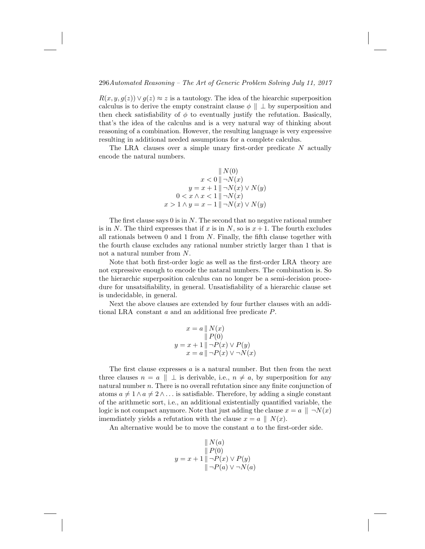### 296Automated Reasoning – The Art of Generic Problem Solving July 11, 2017

 $R(x, y, g(z)) \vee g(z) \approx z$  is a tautology. The idea of the hiearchic superposition calculus is to derive the empty constraint clause  $\phi \parallel \perp$  by superposition and then check satisfiability of  $\phi$  to eventually justify the refutation. Basically, that's the idea of the calculus and is a very natural way of thinking about reasoning of a combination. However, the resulting language is very expressive resulting in additional needed assumptions for a complete calculus.

The LRA clauses over a simple unary first-order predicate  $N$  actually encode the natural numbers.

$$
|| N(0) \n x < 0 || \neg N(x) \n y = x + 1 || \neg N(x) \lor N(y) \n 0 < x \land x < 1 || \neg N(x) \n x > 1 \land y = x - 1 || \neg N(x) \lor N(y)
$$

The first clause says  $0$  is in  $N$ . The second that no negative rational number is in N. The third expresses that if x is in N, so is  $x + 1$ . The fourth excludes all rationals between  $0$  and  $1$  from  $N$ . Finally, the fifth clause together with the fourth clause excludes any rational number strictly larger than 1 that is not a natural number from N.

Note that both first-order logic as well as the first-order LRA theory are not expressive enough to encode the nataral numbers. The combination is. So the hierarchic superposition calculus can no longer be a semi-decision procedure for unsatsifiability, in general. Unsatisfiability of a hierarchic clause set is undecidable, in general.

Next the above clauses are extended by four further clauses with an additional LRA constant a and an additional free predicate P.

$$
x = a \parallel N(x)
$$
  
\n
$$
\parallel P(0)
$$
  
\n
$$
y = x + 1 \parallel \neg P(x) \lor P(y)
$$
  
\n
$$
x = a \parallel \neg P(x) \lor \neg N(x)
$$

The first clause expresses  $a$  is a natural number. But then from the next three clauses  $n = a \parallel \perp$  is derivable, i.e.,  $n \neq a$ , by superposition for any natural number  $n$ . There is no overall refutation since any finite conjunction of atoms  $a \neq 1 \wedge a \neq 2 \wedge \dots$  is satisfiable. Therefore, by adding a single constant of the arithmetic sort, i.e., an additional existentially quantified variable, the logic is not compact anymore. Note that just adding the clause  $x = a \parallel \neg N(x)$ imemdiately yields a refutation with the clause  $x = a \parallel N(x)$ .

An alternative would be to move the constant a to the first-order side.

$$
|| N(a)
$$
  
\n
$$
|| P(0)
$$
  
\n
$$
y = x + 1 || \neg P(x) \vee P(y)
$$
  
\n
$$
|| \neg P(a) \vee \neg N(a)
$$